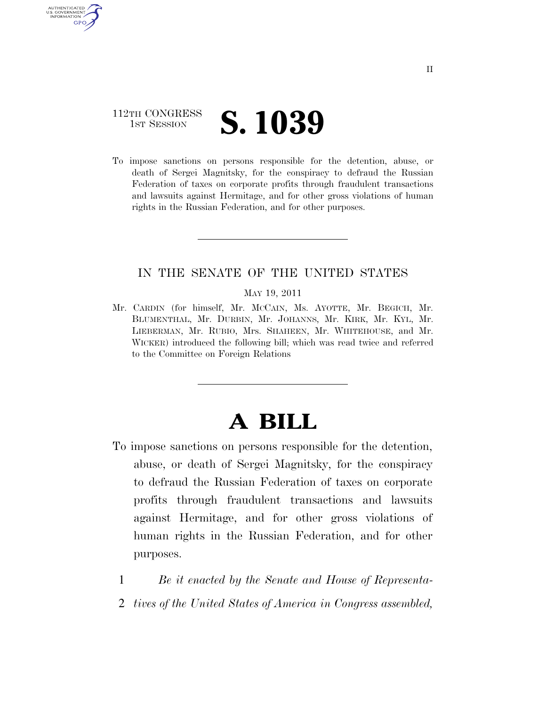## 112TH CONGRESS **IST SESSION S. 1039**

U.S. GOVERNMENT GPO

> To impose sanctions on persons responsible for the detention, abuse, or death of Sergei Magnitsky, for the conspiracy to defraud the Russian Federation of taxes on corporate profits through fraudulent transactions and lawsuits against Hermitage, and for other gross violations of human rights in the Russian Federation, and for other purposes.

## IN THE SENATE OF THE UNITED STATES

#### MAY 19, 2011

Mr. CARDIN (for himself, Mr. MCCAIN, Ms. AYOTTE, Mr. BEGICH, Mr. BLUMENTHAL, Mr. DURBIN, Mr. JOHANNS, Mr. KIRK, Mr. KYL, Mr. LIEBERMAN, Mr. RUBIO, Mrs. SHAHEEN, Mr. WHITEHOUSE, and Mr. WICKER) introduced the following bill; which was read twice and referred to the Committee on Foreign Relations

# **A BILL**

- To impose sanctions on persons responsible for the detention, abuse, or death of Sergei Magnitsky, for the conspiracy to defraud the Russian Federation of taxes on corporate profits through fraudulent transactions and lawsuits against Hermitage, and for other gross violations of human rights in the Russian Federation, and for other purposes.
	- 1 *Be it enacted by the Senate and House of Representa-*
	- 2 *tives of the United States of America in Congress assembled,*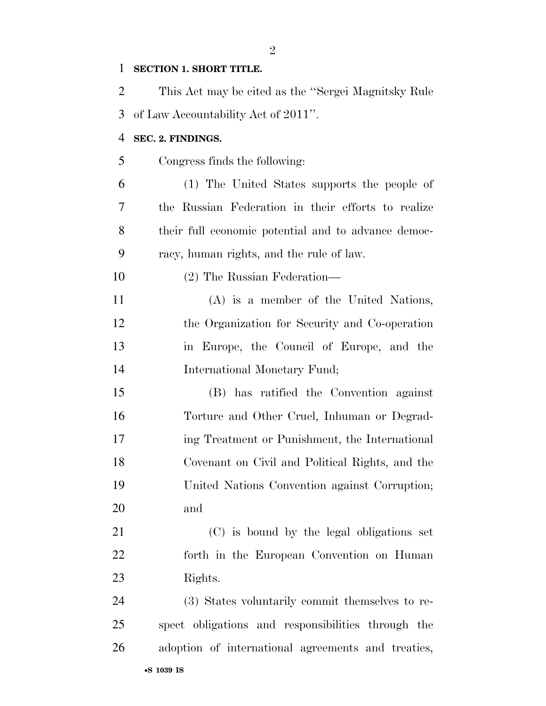## **SECTION 1. SHORT TITLE.**

| 2  | This Act may be cited as the "Sergei Magnitsky Rule" |
|----|------------------------------------------------------|
| 3  | of Law Accountability Act of 2011".                  |
| 4  | SEC. 2. FINDINGS.                                    |
| 5  | Congress finds the following:                        |
| 6  | (1) The United States supports the people of         |
| 7  | the Russian Federation in their efforts to realize   |
| 8  | their full economic potential and to advance democ-  |
| 9  | racy, human rights, and the rule of law.             |
| 10 | (2) The Russian Federation—                          |
| 11 | (A) is a member of the United Nations,               |
| 12 | the Organization for Security and Co-operation       |
| 13 | in Europe, the Council of Europe, and the            |
| 14 | International Monetary Fund;                         |
| 15 | (B) has ratified the Convention against              |
| 16 | Torture and Other Cruel, Inhuman or Degrad-          |
| 17 | ing Treatment or Punishment, the International       |
| 18 | Covenant on Civil and Political Rights, and the      |
| 19 | United Nations Convention against Corruption;        |
| 20 | and                                                  |
| 21 | (C) is bound by the legal obligations set            |
| 22 | forth in the European Convention on Human            |
| 23 | Rights.                                              |
| 24 | (3) States voluntarily commit themselves to re-      |
| 25 | spect obligations and responsibilities through the   |
| 26 | adoption of international agreements and treaties,   |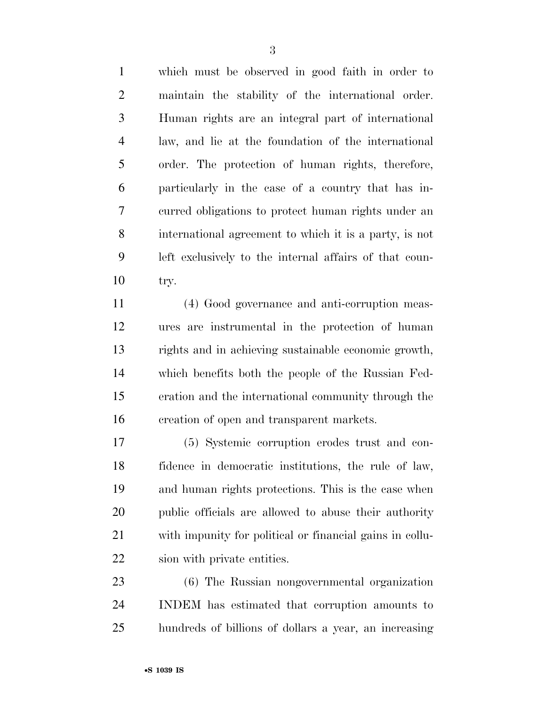which must be observed in good faith in order to maintain the stability of the international order. Human rights are an integral part of international law, and lie at the foundation of the international order. The protection of human rights, therefore, particularly in the case of a country that has in- curred obligations to protect human rights under an international agreement to which it is a party, is not left exclusively to the internal affairs of that coun-try.

 (4) Good governance and anti-corruption meas- ures are instrumental in the protection of human rights and in achieving sustainable economic growth, which benefits both the people of the Russian Fed- eration and the international community through the creation of open and transparent markets.

 (5) Systemic corruption erodes trust and con- fidence in democratic institutions, the rule of law, and human rights protections. This is the case when public officials are allowed to abuse their authority with impunity for political or financial gains in collu-sion with private entities.

 (6) The Russian nongovernmental organization INDEM has estimated that corruption amounts to hundreds of billions of dollars a year, an increasing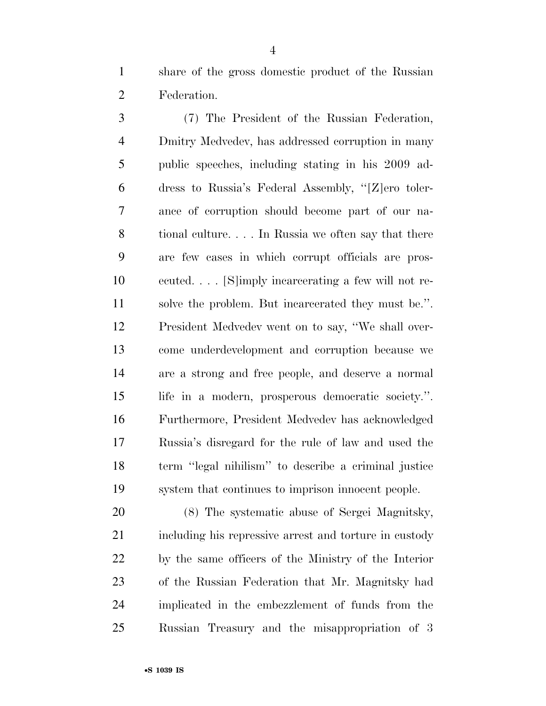share of the gross domestic product of the Russian Federation.

 (7) The President of the Russian Federation, Dmitry Medvedev, has addressed corruption in many public speeches, including stating in his 2009 ad- dress to Russia's Federal Assembly, ''[Z]ero toler- ance of corruption should become part of our na- tional culture. . . . In Russia we often say that there are few cases in which corrupt officials are pros- ecuted. . . . [S]imply incarcerating a few will not re- solve the problem. But incarcerated they must be.''. President Medvedev went on to say, ''We shall over- come underdevelopment and corruption because we are a strong and free people, and deserve a normal life in a modern, prosperous democratic society.''. Furthermore, President Medvedev has acknowledged Russia's disregard for the rule of law and used the term ''legal nihilism'' to describe a criminal justice system that continues to imprison innocent people.

 (8) The systematic abuse of Sergei Magnitsky, 21 including his repressive arrest and torture in custody by the same officers of the Ministry of the Interior of the Russian Federation that Mr. Magnitsky had implicated in the embezzlement of funds from the Russian Treasury and the misappropriation of 3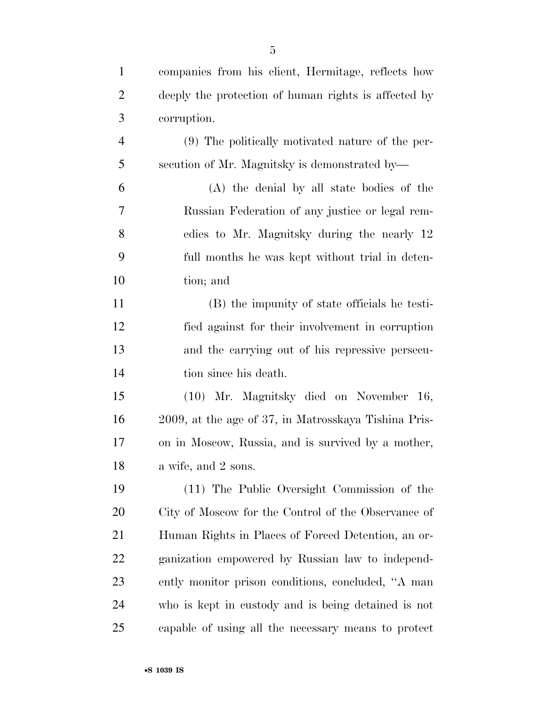| $\mathbf{1}$   | companies from his client, Hermitage, reflects how   |
|----------------|------------------------------------------------------|
| $\overline{2}$ | deeply the protection of human rights is affected by |
| 3              | corruption.                                          |
| $\overline{4}$ | (9) The politically motivated nature of the per-     |
| 5              | secution of Mr. Magnitsky is demonstrated by—        |
| 6              | (A) the denial by all state bodies of the            |
| 7              | Russian Federation of any justice or legal rem-      |
| 8              | edies to Mr. Magnitsky during the nearly 12          |
| 9              | full months he was kept without trial in deten-      |
| 10             | tion; and                                            |
| 11             | (B) the impunity of state officials he testi-        |
| 12             | fied against for their involvement in corruption     |
| 13             | and the carrying out of his repressive persecu-      |
| 14             | tion since his death.                                |
| 15             | (10) Mr. Magnitsky died on November 16,              |
| 16             | 2009, at the age of 37, in Matrosskaya Tishina Pris- |
| 17             | on in Moscow, Russia, and is survived by a mother,   |
| 18             | a wife, and 2 sons.                                  |
| 19             | (11) The Public Oversight Commission of the          |
| 20             | City of Moscow for the Control of the Observance of  |
| 21             | Human Rights in Places of Forced Detention, an or-   |
| 22             | ganization empowered by Russian law to independ-     |
| 23             | ently monitor prison conditions, concluded, "A man   |
| 24             | who is kept in custody and is being detained is not  |
| 25             | capable of using all the necessary means to protect  |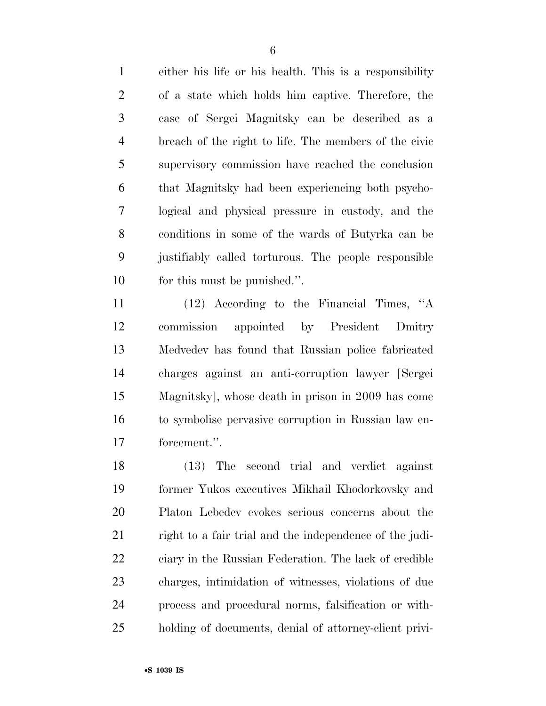either his life or his health. This is a responsibility of a state which holds him captive. Therefore, the case of Sergei Magnitsky can be described as a breach of the right to life. The members of the civic supervisory commission have reached the conclusion that Magnitsky had been experiencing both psycho- logical and physical pressure in custody, and the conditions in some of the wards of Butyrka can be justifiably called torturous. The people responsible for this must be punished.''.

 (12) According to the Financial Times, ''A commission appointed by President Dmitry Medvedev has found that Russian police fabricated charges against an anti-corruption lawyer [Sergei Magnitsky], whose death in prison in 2009 has come to symbolise pervasive corruption in Russian law en-forcement.''.

 (13) The second trial and verdict against former Yukos executives Mikhail Khodorkovsky and Platon Lebedev evokes serious concerns about the right to a fair trial and the independence of the judi- ciary in the Russian Federation. The lack of credible charges, intimidation of witnesses, violations of due process and procedural norms, falsification or with-holding of documents, denial of attorney-client privi-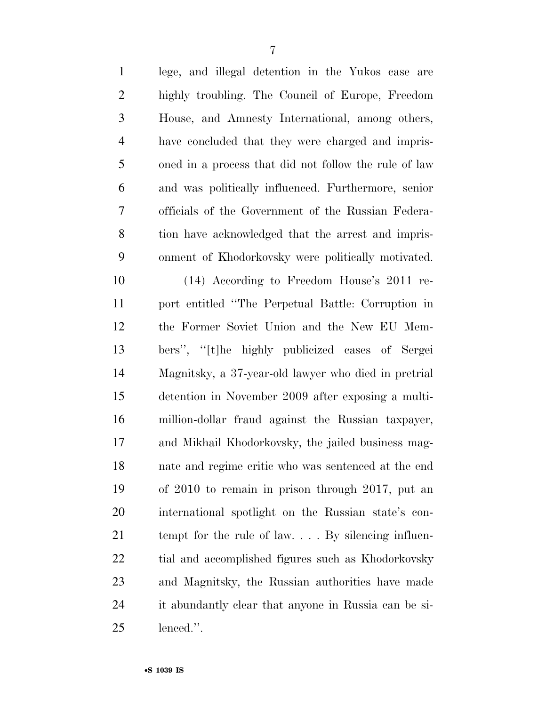| $\mathbf{1}$   | lege, and illegal detention in the Yukos case are         |
|----------------|-----------------------------------------------------------|
| $\overline{2}$ | highly troubling. The Council of Europe, Freedom          |
| 3              | House, and Amnesty International, among others,           |
| $\overline{4}$ | have concluded that they were charged and impris-         |
| 5              | oned in a process that did not follow the rule of law     |
| 6              | and was politically influenced. Furthermore, senior       |
| 7              | officials of the Government of the Russian Federa-        |
| 8              | tion have acknowledged that the arrest and impris-        |
| 9              | onment of Khodorkovsky were politically motivated.        |
| 10             | $(14)$ According to Freedom House's 2011 re-              |
| 11             | port entitled "The Perpetual Battle: Corruption in        |
| 12             | the Former Soviet Union and the New EU Mem-               |
| 13             | bers", "[t]he highly publicized cases of Sergei           |
| 14             | Magnitsky, a 37-year-old lawyer who died in pretrial      |
| 15             | detention in November 2009 after exposing a multi-        |
| 16             | million-dollar fraud against the Russian taxpayer,        |
| 17             | and Mikhail Khodorkovsky, the jailed business mag-        |
| 18             | nate and regime critic who was sentenced at the end       |
| 19             | of 2010 to remain in prison through 2017, put an          |
| 20             | international spotlight on the Russian state's con-       |
| 21             | tempt for the rule of law. $\ldots$ By silencing influen- |
| 22             | tial and accomplished figures such as Khodorkovsky        |
| 23             | and Magnitsky, the Russian authorities have made          |
| 24             | it abundantly clear that anyone in Russia can be si-      |
| 25             | lenced.".                                                 |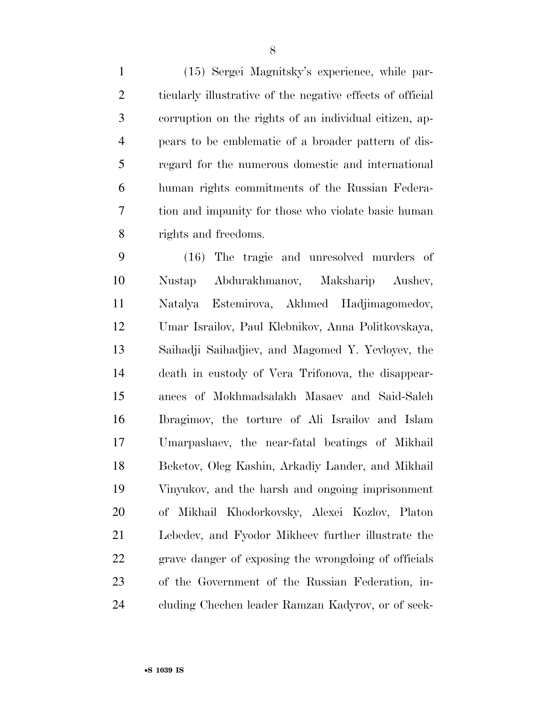(15) Sergei Magnitsky's experience, while par- ticularly illustrative of the negative effects of official corruption on the rights of an individual citizen, ap- pears to be emblematic of a broader pattern of dis- regard for the numerous domestic and international human rights commitments of the Russian Federa- tion and impunity for those who violate basic human rights and freedoms.

 (16) The tragic and unresolved murders of Nustap Abdurakhmanov, Maksharip Aushev, Natalya Estemirova, Akhmed Hadjimagomedov, Umar Israilov, Paul Klebnikov, Anna Politkovskaya, Saihadji Saihadjiev, and Magomed Y. Yevloyev, the death in custody of Vera Trifonova, the disappear- ances of Mokhmadsalakh Masaev and Said-Saleh Ibragimov, the torture of Ali Israilov and Islam Umarpashaev, the near-fatal beatings of Mikhail Beketov, Oleg Kashin, Arkadiy Lander, and Mikhail Vinyukov, and the harsh and ongoing imprisonment of Mikhail Khodorkovsky, Alexei Kozlov, Platon Lebedev, and Fyodor Mikheev further illustrate the grave danger of exposing the wrongdoing of officials of the Government of the Russian Federation, in-cluding Chechen leader Ramzan Kadyrov, or of seek-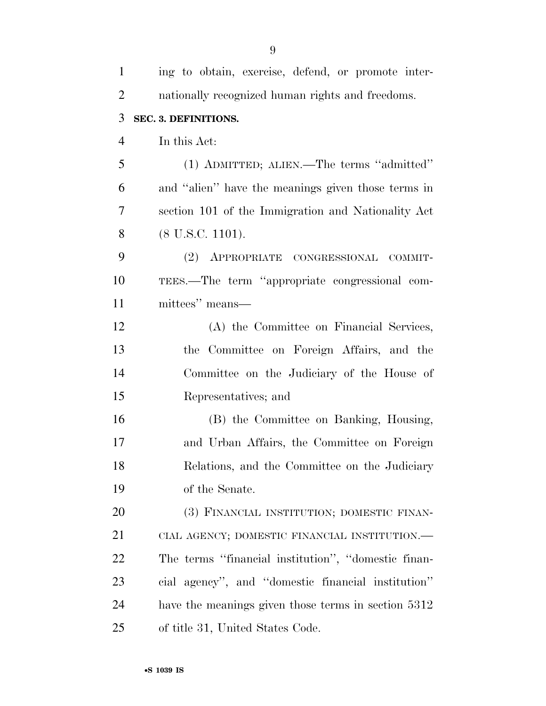| $\mathbf{1}$   | ing to obtain, exercise, defend, or promote inter-  |
|----------------|-----------------------------------------------------|
| $\overline{2}$ | nationally recognized human rights and freedoms.    |
| 3              | SEC. 3. DEFINITIONS.                                |
| $\overline{4}$ | In this Act:                                        |
| 5              | (1) ADMITTED; ALIEN.—The terms "admitted"           |
| 6              | and "alien" have the meanings given those terms in  |
| $\overline{7}$ | section 101 of the Immigration and Nationality Act  |
| 8              | $(8 \text{ U.S.C. } 1101).$                         |
| 9              | (2) APPROPRIATE CONGRESSIONAL COMMIT-               |
| 10             | TEES.—The term "appropriate congressional com-      |
| 11             | mittees" means—                                     |
| 12             | (A) the Committee on Financial Services,            |
| 13             | the Committee on Foreign Affairs, and the           |
| 14             | Committee on the Judiciary of the House of          |
| 15             | Representatives; and                                |
| 16             | (B) the Committee on Banking, Housing,              |
| 17             | and Urban Affairs, the Committee on Foreign         |
| 18             | Relations, and the Committee on the Judiciary       |
| 19             | of the Senate.                                      |
| 20             | (3) FINANCIAL INSTITUTION; DOMESTIC FINAN-          |
| 21             | CIAL AGENCY; DOMESTIC FINANCIAL INSTITUTION.-       |
| 22             | The terms "financial institution", "domestic finan- |
| 23             | cial agency", and "domestic financial institution"  |
| 24             | have the meanings given those terms in section 5312 |
| 25             | of title 31, United States Code.                    |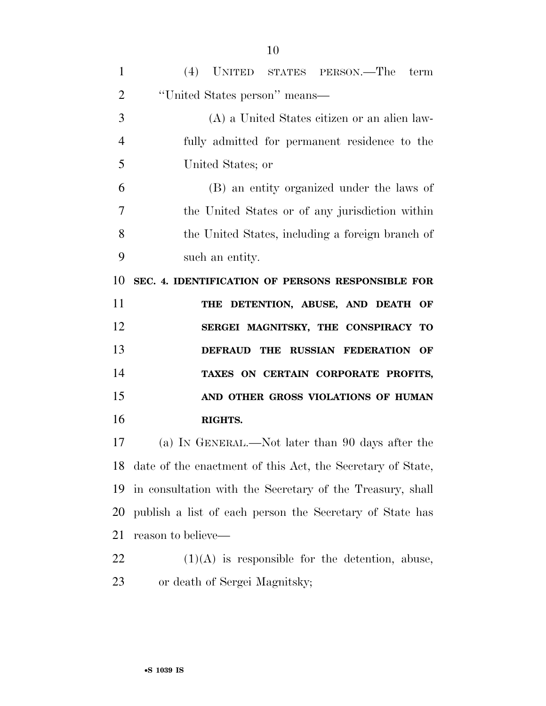| $\mathbf{1}$   | (4) UNITED STATES PERSON.—The<br>term                 |
|----------------|-------------------------------------------------------|
| $\overline{2}$ | "United States person" means—                         |
| 3              | (A) a United States citizen or an alien law-          |
| $\overline{4}$ | fully admitted for permanent residence to the         |
| 5              | United States; or                                     |
| 6              | (B) an entity organized under the laws of             |
| 7              | the United States or of any jurisdiction within       |
| 8              | the United States, including a foreign branch of      |
| 9              | such an entity.                                       |
| 10             | SEC. 4. IDENTIFICATION OF PERSONS RESPONSIBLE FOR     |
| 11             | THE DETENTION, ABUSE, AND DEATH OF                    |
| 12             | SERGEI MAGNITSKY, THE CONSPIRACY TO                   |
| 13             | <b>RUSSIAN FEDERATION OF</b><br><b>DEFRAUD</b><br>THE |
| 14             | TAXES ON CERTAIN CORPORATE PROFITS,                   |
| 15             | AND OTHER GROSS VIOLATIONS OF HUMAN                   |
| 16             | RIGHTS.                                               |
| 17             | (a) IN GENERAL.—Not later than 90 days after the      |

 (a) IN GENERAL.—Not later than 90 days after the date of the enactment of this Act, the Secretary of State, in consultation with the Secretary of the Treasury, shall publish a list of each person the Secretary of State has reason to believe—

 (1)(A) is responsible for the detention, abuse, or death of Sergei Magnitsky;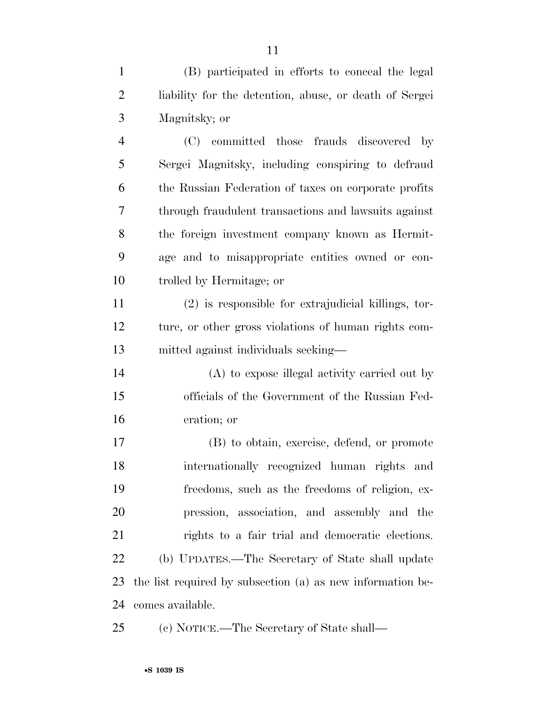(B) participated in efforts to conceal the legal liability for the detention, abuse, or death of Sergei Magnitsky; or

 (C) committed those frauds discovered by Sergei Magnitsky, including conspiring to defraud the Russian Federation of taxes on corporate profits through fraudulent transactions and lawsuits against the foreign investment company known as Hermit- age and to misappropriate entities owned or con-trolled by Hermitage; or

 (2) is responsible for extrajudicial killings, tor- ture, or other gross violations of human rights com-mitted against individuals seeking—

 (A) to expose illegal activity carried out by officials of the Government of the Russian Fed-eration; or

 (B) to obtain, exercise, defend, or promote internationally recognized human rights and freedoms, such as the freedoms of religion, ex- pression, association, and assembly and the rights to a fair trial and democratic elections. (b) UPDATES.—The Secretary of State shall update the list required by subsection (a) as new information be-comes available.

(c) NOTICE.—The Secretary of State shall—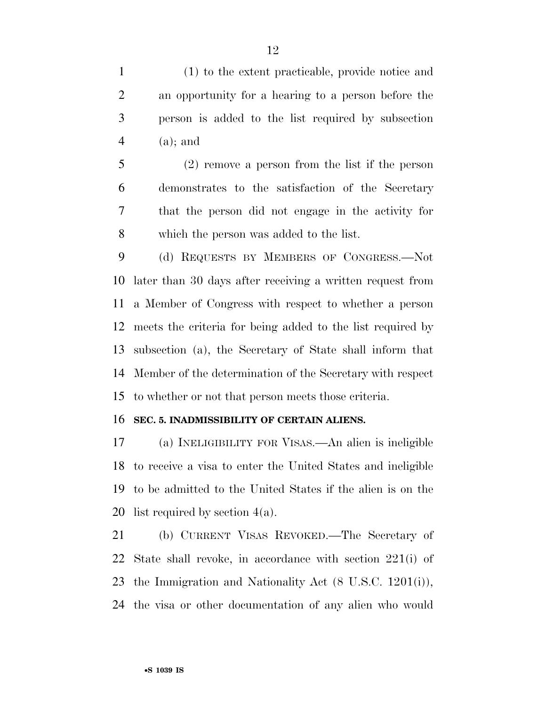(1) to the extent practicable, provide notice and an opportunity for a hearing to a person before the person is added to the list required by subsection (a); and

 (2) remove a person from the list if the person demonstrates to the satisfaction of the Secretary that the person did not engage in the activity for which the person was added to the list.

 (d) REQUESTS BY MEMBERS OF CONGRESS.—Not later than 30 days after receiving a written request from a Member of Congress with respect to whether a person meets the criteria for being added to the list required by subsection (a), the Secretary of State shall inform that Member of the determination of the Secretary with respect to whether or not that person meets those criteria.

#### **SEC. 5. INADMISSIBILITY OF CERTAIN ALIENS.**

 (a) INELIGIBILITY FOR VISAS.—An alien is ineligible to receive a visa to enter the United States and ineligible to be admitted to the United States if the alien is on the list required by section 4(a).

 (b) CURRENT VISAS REVOKED.—The Secretary of State shall revoke, in accordance with section 221(i) of the Immigration and Nationality Act (8 U.S.C. 1201(i)), the visa or other documentation of any alien who would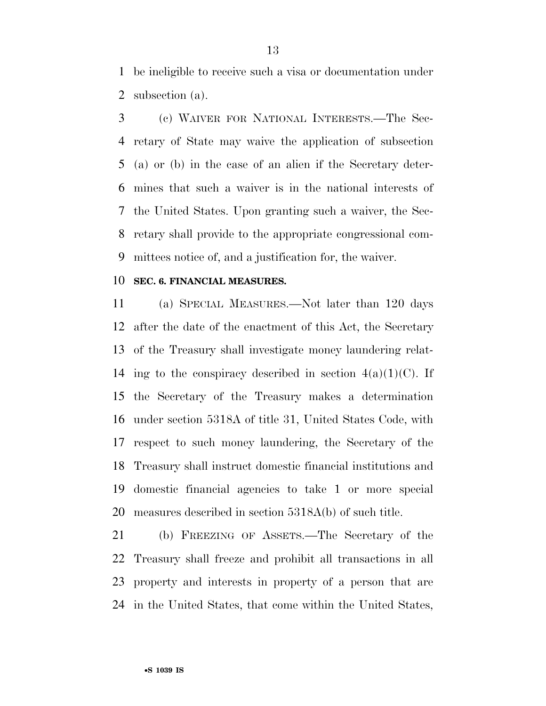be ineligible to receive such a visa or documentation under subsection (a).

 (c) WAIVER FOR NATIONAL INTERESTS.—The Sec- retary of State may waive the application of subsection (a) or (b) in the case of an alien if the Secretary deter- mines that such a waiver is in the national interests of the United States. Upon granting such a waiver, the Sec- retary shall provide to the appropriate congressional com-mittees notice of, and a justification for, the waiver.

#### **SEC. 6. FINANCIAL MEASURES.**

 (a) SPECIAL MEASURES.—Not later than 120 days after the date of the enactment of this Act, the Secretary of the Treasury shall investigate money laundering relat-14 ing to the conspiracy described in section  $4(a)(1)(C)$ . If the Secretary of the Treasury makes a determination under section 5318A of title 31, United States Code, with respect to such money laundering, the Secretary of the Treasury shall instruct domestic financial institutions and domestic financial agencies to take 1 or more special measures described in section 5318A(b) of such title.

 (b) FREEZING OF ASSETS.—The Secretary of the Treasury shall freeze and prohibit all transactions in all property and interests in property of a person that are in the United States, that come within the United States,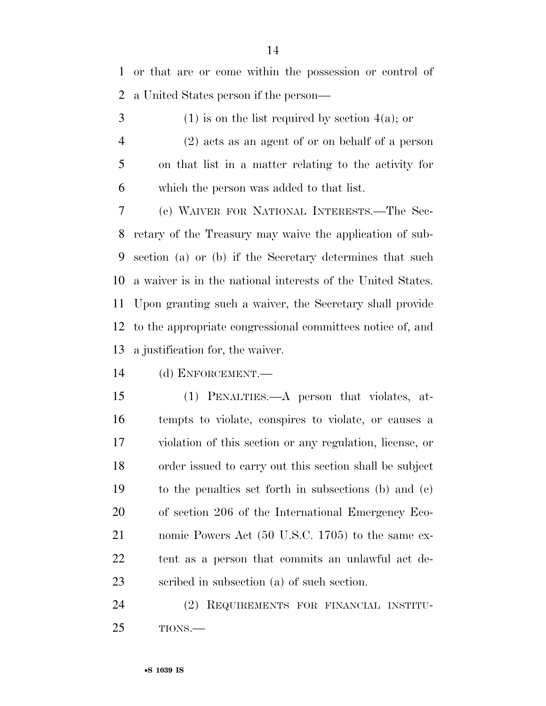or that are or come within the possession or control of a United States person if the person—

 (1) is on the list required by section 4(a); or (2) acts as an agent of or on behalf of a person on that list in a matter relating to the activity for which the person was added to that list.

 (c) WAIVER FOR NATIONAL INTERESTS.—The Sec- retary of the Treasury may waive the application of sub- section (a) or (b) if the Secretary determines that such a waiver is in the national interests of the United States. Upon granting such a waiver, the Secretary shall provide to the appropriate congressional committees notice of, and a justification for, the waiver.

(d) ENFORCEMENT.—

 (1) PENALTIES.—A person that violates, at- tempts to violate, conspires to violate, or causes a violation of this section or any regulation, license, or order issued to carry out this section shall be subject to the penalties set forth in subsections (b) and (c) of section 206 of the International Emergency Eco- nomic Powers Act (50 U.S.C. 1705) to the same ex- tent as a person that commits an unlawful act de-scribed in subsection (a) of such section.

 (2) REQUIREMENTS FOR FINANCIAL INSTITU-TIONS.—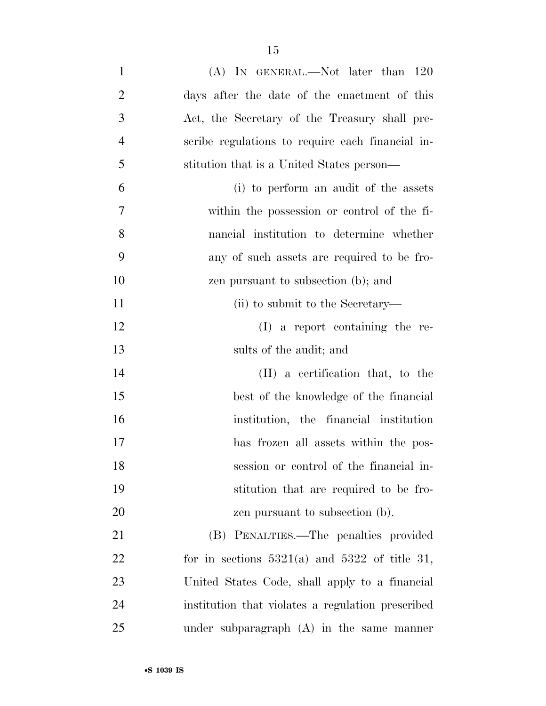| $\mathbf{1}$   | $(A)$ In GENERAL.—Not later than 120              |
|----------------|---------------------------------------------------|
| $\overline{2}$ | days after the date of the enactment of this      |
| 3              | Act, the Secretary of the Treasury shall pre-     |
| $\overline{4}$ | scribe regulations to require each financial in-  |
| 5              | stitution that is a United States person—         |
| 6              | (i) to perform an audit of the assets             |
| 7              | within the possession or control of the fi-       |
| 8              | nancial institution to determine whether          |
| 9              | any of such assets are required to be fro-        |
| 10             | zen pursuant to subsection (b); and               |
| 11             | (ii) to submit to the Secretary—                  |
| 12             | $(I)$ a report containing the re-                 |
| 13             | sults of the audit; and                           |
| 14             | (II) a certification that, to the                 |
| 15             | best of the knowledge of the financial            |
| 16             | institution, the financial institution            |
| 17             | has frozen all assets within the pos-             |
| 18             | session or control of the financial in-           |
| 19             | stitution that are required to be fro-            |
| 20             | zen pursuant to subsection (b).                   |
| 21             | (B) PENALTIES.—The penalties provided             |
| 22             | for in sections $5321(a)$ and $5322$ of title 31, |
| 23             | United States Code, shall apply to a financial    |
| 24             | institution that violates a regulation prescribed |
| 25             | under subparagraph $(A)$ in the same manner       |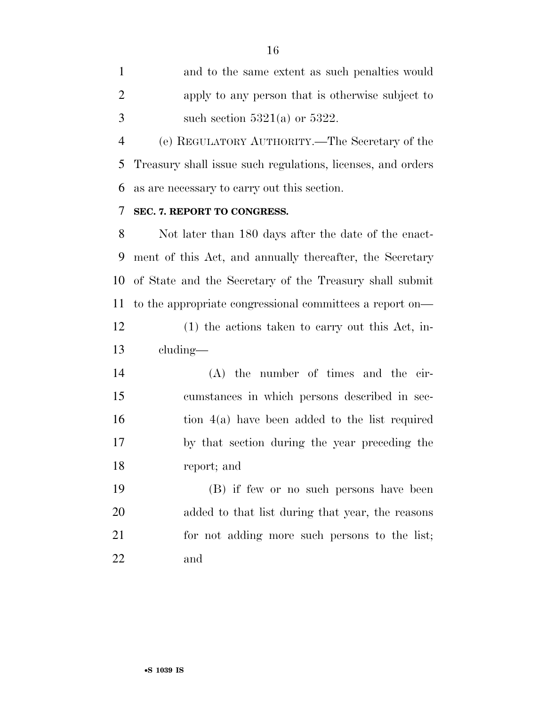and to the same extent as such penalties would apply to any person that is otherwise subject to  $3 \quad$  such section  $5321(a)$  or  $5322$ .

 (e) REGULATORY AUTHORITY.—The Secretary of the Treasury shall issue such regulations, licenses, and orders as are necessary to carry out this section.

### **SEC. 7. REPORT TO CONGRESS.**

 Not later than 180 days after the date of the enact- ment of this Act, and annually thereafter, the Secretary of State and the Secretary of the Treasury shall submit to the appropriate congressional committees a report on—

 (1) the actions taken to carry out this Act, in-cluding—

 (A) the number of times and the cir- cumstances in which persons described in sec- tion 4(a) have been added to the list required by that section during the year preceding the report; and

 (B) if few or no such persons have been added to that list during that year, the reasons for not adding more such persons to the list; and